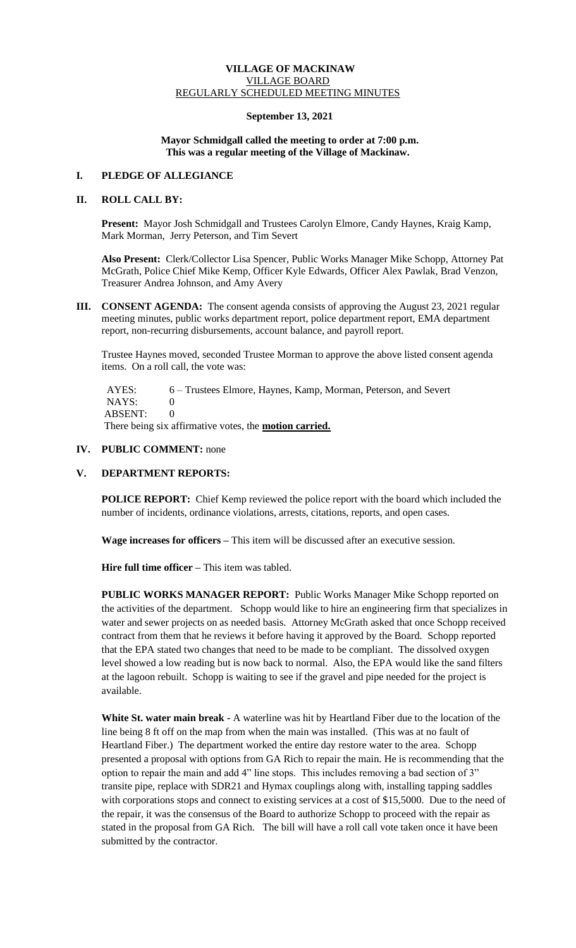## **VILLAGE OF MACKINAW** VILLAGE BOARD REGULARLY SCHEDULED MEETING MINUTES

# **September 13, 2021**

## **Mayor Schmidgall called the meeting to order at 7:00 p.m. This was a regular meeting of the Village of Mackinaw.**

# **I. PLEDGE OF ALLEGIANCE**

# **II. ROLL CALL BY:**

**Present:** Mayor Josh Schmidgall and Trustees Carolyn Elmore, Candy Haynes, Kraig Kamp, Mark Morman, Jerry Peterson, and Tim Severt

**Also Present:** Clerk/Collector Lisa Spencer, Public Works Manager Mike Schopp, Attorney Pat McGrath, Police Chief Mike Kemp, Officer Kyle Edwards, Officer Alex Pawlak, Brad Venzon, Treasurer Andrea Johnson, and Amy Avery

**III. CONSENT AGENDA:** The consent agenda consists of approving the August 23, 2021 regular meeting minutes, public works department report, police department report, EMA department report, non-recurring disbursements, account balance, and payroll report.

Trustee Haynes moved, seconded Trustee Morman to approve the above listed consent agenda items. On a roll call, the vote was:

AYES: 6 – Trustees Elmore, Haynes, Kamp, Morman, Peterson, and Severt NAYS: 0 ABSENT: 0

There being six affirmative votes, the **motion carried.**

## **IV. PUBLIC COMMENT:** none

# **V. DEPARTMENT REPORTS:**

**POLICE REPORT:** Chief Kemp reviewed the police report with the board which included the number of incidents, ordinance violations, arrests, citations, reports, and open cases.

**Wage increases for officers –** This item will be discussed after an executive session.

**Hire full time officer –** This item was tabled.

**PUBLIC WORKS MANAGER REPORT:** Public Works Manager Mike Schopp reported on the activities of the department. Schopp would like to hire an engineering firm that specializes in water and sewer projects on as needed basis. Attorney McGrath asked that once Schopp received contract from them that he reviews it before having it approved by the Board. Schopp reported that the EPA stated two changes that need to be made to be compliant. The dissolved oxygen level showed a low reading but is now back to normal. Also, the EPA would like the sand filters at the lagoon rebuilt. Schopp is waiting to see if the gravel and pipe needed for the project is available.

**White St. water main break -** A waterline was hit by Heartland Fiber due to the location of the line being 8 ft off on the map from when the main was installed. (This was at no fault of Heartland Fiber.) The department worked the entire day restore water to the area. Schopp presented a proposal with options from GA Rich to repair the main. He is recommending that the option to repair the main and add 4" line stops. This includes removing a bad section of 3" transite pipe, replace with SDR21 and Hymax couplings along with, installing tapping saddles with corporations stops and connect to existing services at a cost of \$15,5000. Due to the need of the repair, it was the consensus of the Board to authorize Schopp to proceed with the repair as stated in the proposal from GA Rich. The bill will have a roll call vote taken once it have been submitted by the contractor.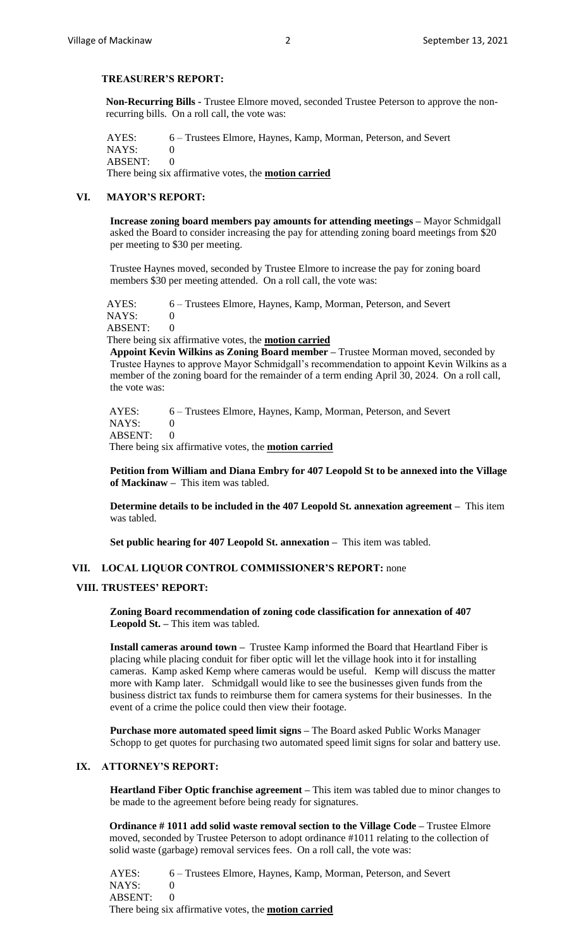## **TREASURER'S REPORT:**

**Non-Recurring Bills -** Trustee Elmore moved, seconded Trustee Peterson to approve the nonrecurring bills. On a roll call, the vote was:

 AYES: 6 – Trustees Elmore, Haynes, Kamp, Morman, Peterson, and Severt NAYS: 0 ABSENT: 0 There being six affirmative votes, the **motion carried**

# **VI. MAYOR'S REPORT:**

**Increase zoning board members pay amounts for attending meetings –** Mayor Schmidgall asked the Board to consider increasing the pay for attending zoning board meetings from \$20 per meeting to \$30 per meeting.

Trustee Haynes moved, seconded by Trustee Elmore to increase the pay for zoning board members \$30 per meeting attended. On a roll call, the vote was:

 AYES: 6 – Trustees Elmore, Haynes, Kamp, Morman, Peterson, and Severt NAYS: 0 ABSENT: 0

 There being six affirmative votes, the **motion carried Appoint Kevin Wilkins as Zoning Board member –** Trustee Morman moved, seconded by Trustee Haynes to approve Mayor Schmidgall's recommendation to appoint Kevin Wilkins as a member of the zoning board for the remainder of a term ending April 30, 2024. On a roll call,

the vote was: AYES: 6 – Trustees Elmore, Haynes, Kamp, Morman, Peterson, and Severt NAYS: 0

ABSENT: 0

There being six affirmative votes, the **motion carried**

**Petition from William and Diana Embry for 407 Leopold St to be annexed into the Village of Mackinaw –** This item was tabled.

**Determine details to be included in the 407 Leopold St. annexation agreement –** This item was tabled.

**Set public hearing for 407 Leopold St. annexation –** This item was tabled.

# **VII. LOCAL LIQUOR CONTROL COMMISSIONER'S REPORT:** none

#### **VIII. TRUSTEES' REPORT:**

**Zoning Board recommendation of zoning code classification for annexation of 407 Leopold St. –** This item was tabled.

**Install cameras around town –** Trustee Kamp informed the Board that Heartland Fiber is placing while placing conduit for fiber optic will let the village hook into it for installing cameras. Kamp asked Kemp where cameras would be useful. Kemp will discuss the matter more with Kamp later. Schmidgall would like to see the businesses given funds from the business district tax funds to reimburse them for camera systems for their businesses. In the event of a crime the police could then view their footage.

**Purchase more automated speed limit signs –** The Board asked Public Works Manager Schopp to get quotes for purchasing two automated speed limit signs for solar and battery use.

# **IX. ATTORNEY'S REPORT:**

**Heartland Fiber Optic franchise agreement –** This item was tabled due to minor changes to be made to the agreement before being ready for signatures.

**Ordinance # 1011 add solid waste removal section to the Village Code –** Trustee Elmore moved, seconded by Trustee Peterson to adopt ordinance #1011 relating to the collection of solid waste (garbage) removal services fees. On a roll call, the vote was:

AYES: 6 – Trustees Elmore, Haynes, Kamp, Morman, Peterson, and Severt NAYS: 0 ABSENT: 0 There being six affirmative votes, the **motion carried**